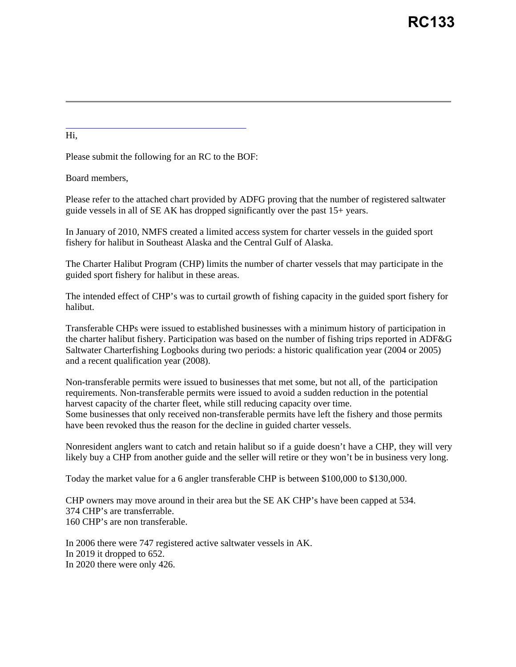Hi,

Please submit the following for an RC to the BOF:

Board members,

Please refer to the attached chart provided by ADFG proving that the number of registered saltwater guide vessels in all of SE AK has dropped significantly over the past 15+ years.

In January of 2010, NMFS created a limited access system for charter vessels in the guided sport fishery for halibut in Southeast Alaska and the Central Gulf of Alaska.

The Charter Halibut Program (CHP) limits the number of charter vessels that may participate in the guided sport fishery for halibut in these areas.

The intended effect of CHP's was to curtail growth of fishing capacity in the guided sport fishery for halibut.

Transferable CHPs were issued to established businesses with a minimum history of participation in the charter halibut fishery. Participation was based on the number of fishing trips reported in ADF&G Saltwater Charterfishing Logbooks during two periods: a historic qualification year (2004 or 2005) and a recent qualification year (2008).

Non-transferable permits were issued to businesses that met some, but not all, of the participation requirements. Non-transferable permits were issued to avoid a sudden reduction in the potential harvest capacity of the charter fleet, while still reducing capacity over time. Some businesses that only received non-transferable permits have left the fishery and those permits have been revoked thus the reason for the decline in guided charter vessels.

Nonresident anglers want to catch and retain halibut so if a guide doesn't have a CHP, they will very likely buy a CHP from another guide and the seller will retire or they won't be in business very long.

Today the market value for a 6 angler transferable CHP is between \$100,000 to \$130,000.

CHP owners may move around in their area but the SE AK CHP's have been capped at 534. 374 CHP's are transferrable. 160 CHP's are non transferable.

In 2006 there were 747 registered active saltwater vessels in AK. In 2019 it dropped to 652. In 2020 there were only 426.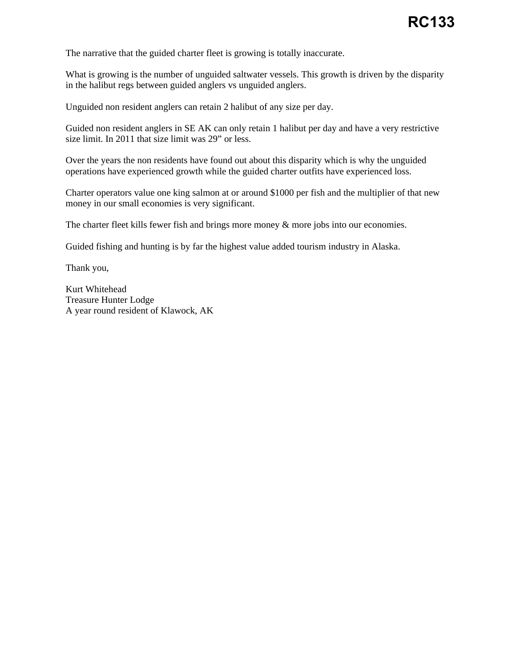The narrative that the guided charter fleet is growing is totally inaccurate.

What is growing is the number of unguided saltwater vessels. This growth is driven by the disparity in the halibut regs between guided anglers vs unguided anglers.

Unguided non resident anglers can retain 2 halibut of any size per day.

Guided non resident anglers in SE AK can only retain 1 halibut per day and have a very restrictive size limit. In 2011 that size limit was 29" or less.

Over the years the non residents have found out about this disparity which is why the unguided operations have experienced growth while the guided charter outfits have experienced loss.

Charter operators value one king salmon at or around \$1000 per fish and the multiplier of that new money in our small economies is very significant.

The charter fleet kills fewer fish and brings more money & more jobs into our economies.

Guided fishing and hunting is by far the highest value added tourism industry in Alaska.

Thank you,

Kurt Whitehead Treasure Hunter Lodge A year round resident of Klawock, AK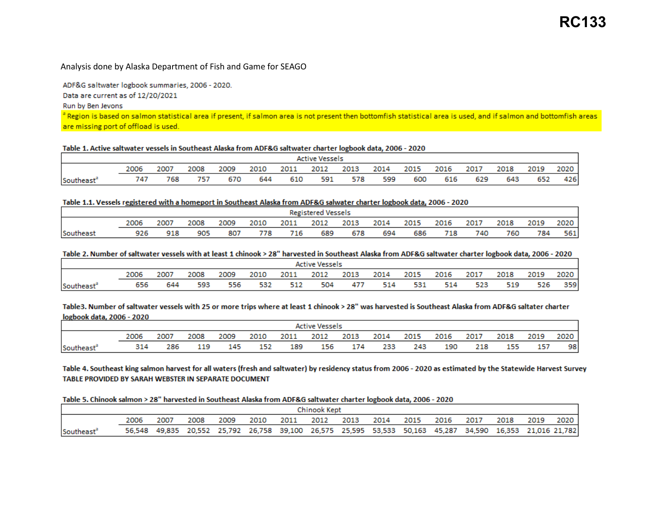# Analysis done by Alaska Department of Fish and Game for SEAGO

ADF&G saltwater logbook summaries, 2006 - 2020.

Data are current as of 12/20/2021

Run by Ben Jevons

a Region is based on salmon statistical area if present, if salmon area is not present then bottomfish statistical area is used, and if salmon and bottomfish areas are missing port of offload is used.

# Table 1. Active saltwater vessels in Southeast Alaska from ADF&G saltwater charter logbook data, 2006 - 2020

|           | <b>Active Vessels</b> |      |      |      |      |      |      |      |      |      |      |      |      |      |        |
|-----------|-----------------------|------|------|------|------|------|------|------|------|------|------|------|------|------|--------|
|           | 2006                  | 2007 | 2008 | 2009 | 2010 | 2011 | 2012 | 2013 | 2014 | 2015 | 2016 | 2017 | 2018 | 2019 | 2020 i |
| Southeast | 747                   | 768  | 757  | 670  | 644  | 610  | 591  | 578  | 599  | 600  | 616  | 629  | 643  | 652  | 426    |

# Table 1.1. Vessels registered with a homeport in Southeast Alaska from ADF&G salwater charter logbook data, 2006 - 2020

|                 | <b>Registered Vessels</b> |      |      |      |      |      |      |      |      |      |      |      |      |      |      |
|-----------------|---------------------------|------|------|------|------|------|------|------|------|------|------|------|------|------|------|
|                 | 2006                      | 2007 | 2008 | 2009 | 2010 | 2011 | 2012 | 2013 | 2014 | 2015 | 2016 | 2017 | 2018 | 2019 | 2020 |
| <b>Southeas</b> | 926                       | 918  | 905  | 807  | 778  | 716  | 689  | 678  | 694  | 686  | 718  | 740  | 760  | 784  | 561  |

### Table 2. Number of saltwater vessels with at least 1 chinook > 28" harvested in Southeast Alaska from ADF&G saltwater charter logbook data, 2006 - 2020

|           | Active Vessels |      |      |      |      |      |      |      |      |      |      |      |      |      |      |
|-----------|----------------|------|------|------|------|------|------|------|------|------|------|------|------|------|------|
|           | 2006           | 2007 | 2008 | 2009 | 2010 | 2011 | 2012 | 2013 | 2014 | 2015 | 2016 | 2017 | 2018 | 2019 | 2020 |
| Southeaรเ | 656            | 644  | 593  | 556  | 532  | 512  | 504  | 477  | 514  | 531  | 514  | 523  | 519  | 526  | 359  |

Table3. Number of saltwater vessels with 25 or more trips where at least 1 chinook > 28" was harvested is Southeast Alaska from ADF&G saltater charter logbook data, 2006 - 2020

|           | <b>Active Vessels</b> |      |      |      |      |      |      |      |      |      |      |      |      |      |      |
|-----------|-----------------------|------|------|------|------|------|------|------|------|------|------|------|------|------|------|
|           | 2006                  | 2007 | 2008 | 2009 | 2010 | 2011 | 2012 | 2013 | 2014 | 2015 | 2016 | 2017 | 2018 | 2019 | 2020 |
| Southeast | 314                   | 286  | 119  | 145  | 152  | 189  | 156  | 174  | 233  | 243  | 190  | 218  | 155  | 157  | 98   |

Table 4. Southeast king salmon harvest for all waters (fresh and saltwater) by residency status from 2006 - 2020 as estimated by the Statewide Harvest Survey TABLE PROVIDED BY SARAH WEBSTER IN SEPARATE DOCUMENT

#### Table 5. Chinook salmon > 28" harvested in Southeast Alaska from ADF&G saltwater charter logbook data, 2006 - 2020

|                        | Chinook Kept |      |      |      |      |           |  |      |      |      |      |                                                                                                          |      |      |        |
|------------------------|--------------|------|------|------|------|-----------|--|------|------|------|------|----------------------------------------------------------------------------------------------------------|------|------|--------|
|                        |              | 2007 | 2008 | 2009 | 2010 | 2011 2012 |  | 2013 | 2014 | 2015 | 2016 | 2017                                                                                                     | 2018 | 2019 | 2020 1 |
| Southeast <sup>®</sup> |              |      |      |      |      |           |  |      |      |      |      | 56,548 49,835 20,552 25,792 26,758 39,100 26,575 25,595 53,533 50,163 45,287 34,590 16,353 21,016 21,782 |      |      |        |